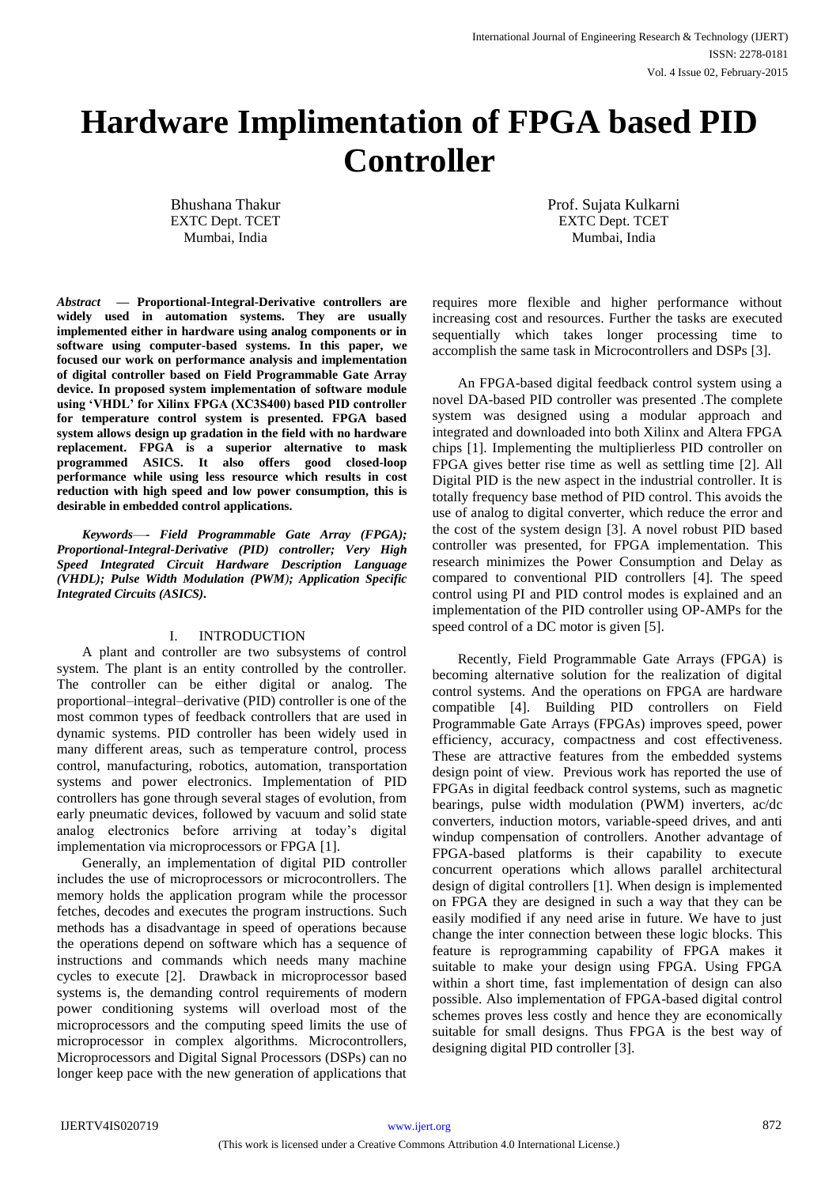# **Hardware Implimentation of FPGA based PID Controller**

Bhushana Thakur EXTC Dept. TCET Mumbai, India

Prof. Sujata Kulkarni EXTC Dept. TCET Mumbai, India

*Abstract* **— Proportional-Integral-Derivative controllers are widely used in automation systems. They are usually implemented either in hardware using analog components or in software using computer-based systems. In this paper, we focused our work on performance analysis and implementation of digital controller based on Field Programmable Gate Array device. In proposed system implementation of software module using 'VHDL' for Xilinx FPGA (XC3S400) based PID controller for temperature control system is presented. FPGA based system allows design up gradation in the field with no hardware replacement. FPGA is a superior alternative to mask programmed ASICS. It also offers good closed-loop performance while using less resource which results in cost reduction with high speed and low power consumption, this is desirable in embedded control applications.** 

*Keywords*—**-** *Field Programmable Gate Array (FPGA); Proportional-Integral-Derivative (PID) controller; Very High Speed Integrated Circuit Hardware Description Language (VHDL); Pulse Width Modulation (PWM); Application Specific Integrated Circuits (ASICS).*

### I. INTRODUCTION

A plant and controller are two subsystems of control system. The plant is an entity controlled by the controller. The controller can be either digital or analog. The proportional–integral–derivative (PID) controller is one of the most common types of feedback controllers that are used in dynamic systems. PID controller has been widely used in many different areas, such as temperature control, process control, manufacturing, robotics, automation, transportation systems and power electronics. Implementation of PID controllers has gone through several stages of evolution, from early pneumatic devices, followed by vacuum and solid state analog electronics before arriving at today's digital implementation via microprocessors or FPGA [1].

Generally, an implementation of digital PID controller includes the use of microprocessors or microcontrollers. The memory holds the application program while the processor fetches, decodes and executes the program instructions. Such methods has a disadvantage in speed of operations because the operations depend on software which has a sequence of instructions and commands which needs many machine cycles to execute [2]. Drawback in microprocessor based systems is, the demanding control requirements of modern power conditioning systems will overload most of the microprocessors and the computing speed limits the use of microprocessor in complex algorithms. Microcontrollers, Microprocessors and Digital Signal Processors (DSPs) can no longer keep pace with the new generation of applications that requires more flexible and higher performance without increasing cost and resources. Further the tasks are executed sequentially which takes longer processing time to accomplish the same task in Microcontrollers and DSPs [3].

An FPGA-based digital feedback control system using a novel DA-based PID controller was presented .The complete system was designed using a modular approach and integrated and downloaded into both Xilinx and Altera FPGA chips [1]. Implementing the multiplierless PID controller on FPGA gives better rise time as well as settling time [2]. All Digital PID is the new aspect in the industrial controller. It is totally frequency base method of PID control. This avoids the use of analog to digital converter, which reduce the error and the cost of the system design [3]. A novel robust PID based controller was presented, for FPGA implementation. This research minimizes the Power Consumption and Delay as compared to conventional PID controllers [4]. The speed control using PI and PID control modes is explained and an implementation of the PID controller using OP-AMPs for the speed control of a DC motor is given [5].

Recently, Field Programmable Gate Arrays (FPGA) is becoming alternative solution for the realization of digital control systems. And the operations on FPGA are hardware compatible [4]. Building PID controllers on Field Programmable Gate Arrays (FPGAs) improves speed, power efficiency, accuracy, compactness and cost effectiveness. These are attractive features from the embedded systems design point of view. Previous work has reported the use of FPGAs in digital feedback control systems, such as magnetic bearings, pulse width modulation (PWM) inverters, ac/dc converters, induction motors, variable-speed drives, and anti windup compensation of controllers. Another advantage of FPGA-based platforms is their capability to execute concurrent operations which allows parallel architectural design of digital controllers [1]. When design is implemented on FPGA they are designed in such a way that they can be easily modified if any need arise in future. We have to just change the inter connection between these logic blocks. This feature is reprogramming capability of FPGA makes it suitable to make your design using FPGA. Using FPGA within a short time, fast implementation of design can also possible. Also implementation of FPGA-based digital control schemes proves less costly and hence they are economically suitable for small designs. Thus FPGA is the best way of designing digital PID controller [3].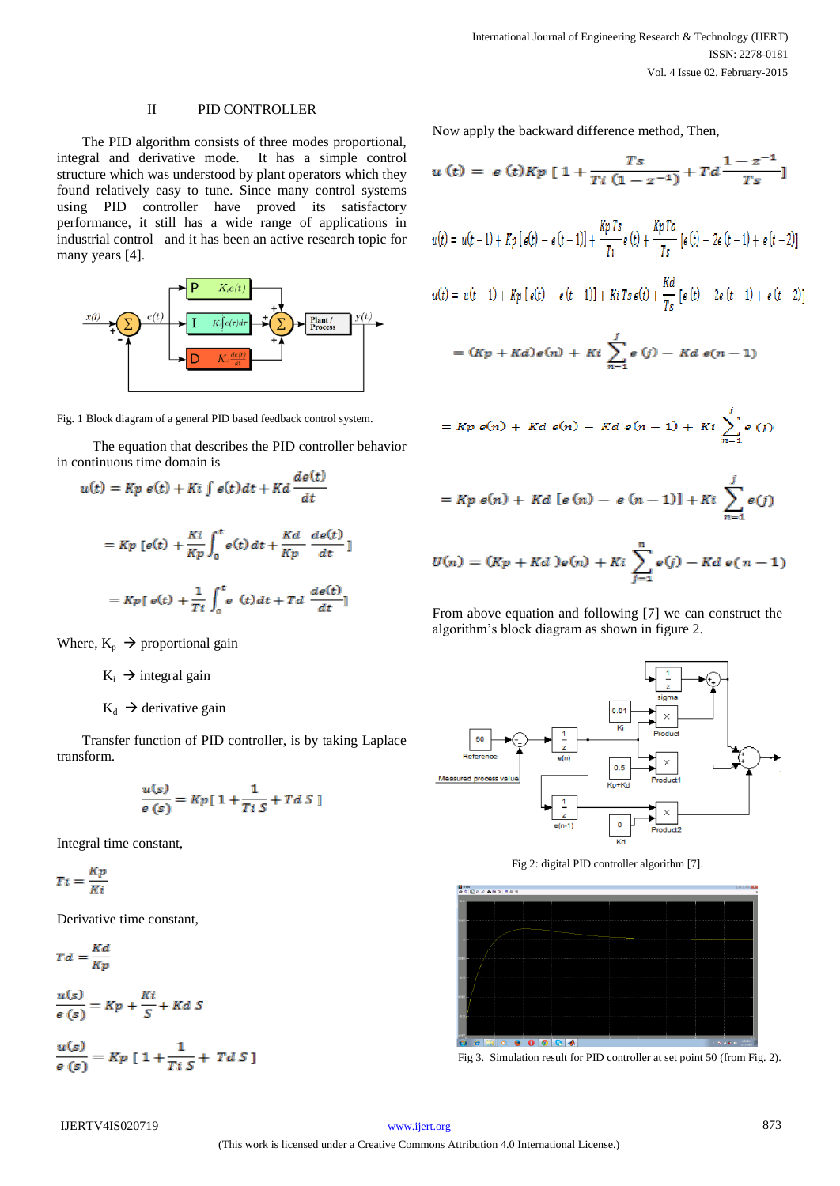## II PID CONTROLLER

The PID algorithm consists of three modes proportional, integral and derivative mode. It has a simple control structure which was understood by plant operators which they found relatively easy to tune. Since many control systems using PID controller have proved its satisfactory performance, it still has a wide range of applications in industrial control and it has been an active research topic for many years [4].



Fig. 1 Block diagram of a general PID based feedback control system.

 The equation that describes the PID controller behavior in continuous time domain is  $\mathbf{r}$  and

$$
u(t) = Kp e(t) + Ki \int e(t)dt + Kd \frac{ae(t)}{dt}
$$

$$
= Kp [e(t) + \frac{Ki}{Kp} \int_0^t e(t) dt + \frac{Kd}{Kp} \frac{de(t)}{dt}]
$$

$$
= Kp [e(t) + \frac{1}{Ti} \int_0^t e(t) dt + Td \frac{de(t)}{dt}]
$$

Where,  $K_p \rightarrow$  proportional gain

 $K_i \rightarrow$  integral gain

$$
K_d \rightarrow
$$
 derivative gain

Transfer function of PID controller, is by taking Laplace transform.

$$
\frac{u(s)}{e(s)} = Kp[1 + \frac{1}{Ti\,S} + TdS]
$$

Integral time constant,

$$
Ti = \frac{Kp}{Ki}
$$

Derivative time constant,

$$
Td = \frac{Kd}{Kv}
$$

$$
\frac{u(s)}{e(s)} = Kp + \frac{Ki}{S} + KdS
$$

$$
\frac{u(s)}{e\left(s\right)}=Kp\left[\,1+\frac{1}{Ti\,S}+\,Td\,S\,\right]
$$

Now apply the backward difference method, Then,

$$
u(t) = e(t)Kp [1 + \frac{Ts}{Ti(1 - z^{-1})} + Td \frac{1 - z^{-1}}{Ts}]
$$

$$
u(t) = u(t-1) + Kp \left[\, e(t) - e(t-1) \right] + \frac{Kp \, Ts}{Ti} e(t) + \frac{Kp \, Td}{Ts} \left[\, e(t) - 2e(t-1) + e(t-2) \right]
$$

$$
u(t) = u(t-1) + Kp [e(t) - e(t-1)] + Ki Ts e(t) + \frac{Kd}{Ts} [e(t) - 2e(t-1) + e(t-2)]
$$

$$
= (Kp + Kd) e(n) + Ki \sum_{n=1}^{j} e(j) - Kd e(n-1)
$$

$$
= Kp \; e(n) + Kd \; e(n) - Kd \; e(n-1) + Ki \; \sum_{n=1}^{j} e(j)
$$

$$
= Kp \, e(n) + Kd \, [e(n) - e(n-1)] + Ki \, \sum_{n=1}^{j} e(j)
$$

$$
U(n) = (Kp + Kd) e(n) + Ki \sum_{j=1}^{n} e(j) - Kd e(n-1)
$$

From above equation and following [7] we can construct the algorithm's block diagram as shown in figure 2.



Fig 2: digital PID controller algorithm [7].



Fig 3. Simulation result for PID controller at set point 50 (from Fig. 2).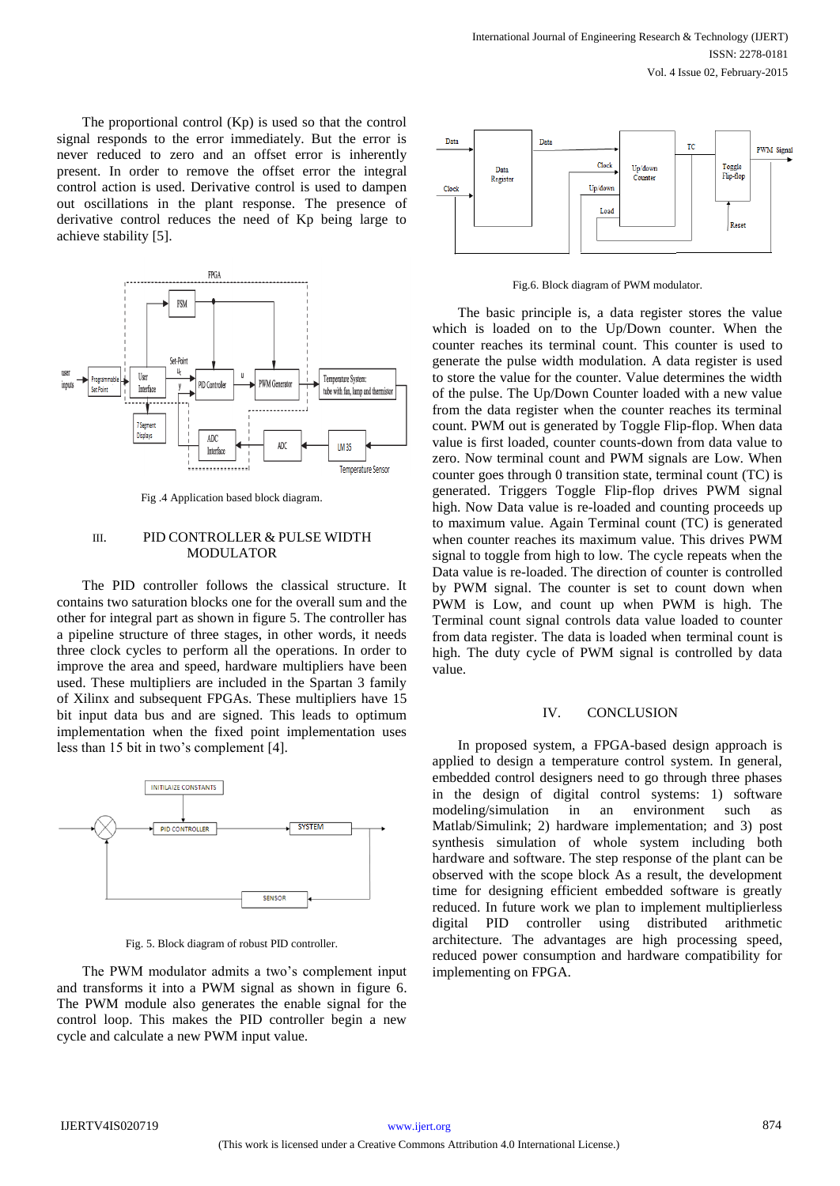The proportional control (Kp) is used so that the control signal responds to the error immediately. But the error is never reduced to zero and an offset error is inherently present. In order to remove the offset error the integral control action is used. Derivative control is used to dampen out oscillations in the plant response. The presence of derivative control reduces the need of Kp being large to achieve stability [5].



Fig .4 Application based block diagram.

#### III. PID CONTROLLER & PULSE WIDTH MODULATOR

The PID controller follows the classical structure. It contains two saturation blocks one for the overall sum and the other for integral part as shown in figure 5. The controller has a pipeline structure of three stages, in other words, it needs three clock cycles to perform all the operations. In order to improve the area and speed, hardware multipliers have been used. These multipliers are included in the Spartan 3 family of Xilinx and subsequent FPGAs. These multipliers have 15 bit input data bus and are signed. This leads to optimum implementation when the fixed point implementation uses less than 15 bit in two's complement [4].



Fig. 5. Block diagram of robust PID controller.

The PWM modulator admits a two's complement input and transforms it into a PWM signal as shown in figure 6. The PWM module also generates the enable signal for the control loop. This makes the PID controller begin a new cycle and calculate a new PWM input value.



Fig.6. Block diagram of PWM modulator.

The basic principle is, a data register stores the value which is loaded on to the Up/Down counter. When the counter reaches its terminal count. This counter is used to generate the pulse width modulation. A data register is used to store the value for the counter. Value determines the width of the pulse. The Up/Down Counter loaded with a new value from the data register when the counter reaches its terminal count. PWM out is generated by Toggle Flip-flop. When data value is first loaded, counter counts-down from data value to zero. Now terminal count and PWM signals are Low. When counter goes through 0 transition state, terminal count (TC) is generated. Triggers Toggle Flip-flop drives PWM signal high. Now Data value is re-loaded and counting proceeds up to maximum value. Again Terminal count (TC) is generated when counter reaches its maximum value. This drives PWM signal to toggle from high to low. The cycle repeats when the Data value is re-loaded. The direction of counter is controlled by PWM signal. The counter is set to count down when PWM is Low, and count up when PWM is high. The Terminal count signal controls data value loaded to counter from data register. The data is loaded when terminal count is high. The duty cycle of PWM signal is controlled by data value.

#### IV. CONCLUSION

In proposed system, a FPGA-based design approach is applied to design a temperature control system. In general, embedded control designers need to go through three phases in the design of digital control systems: 1) software modeling/simulation in an environment such as Matlab/Simulink; 2) hardware implementation; and 3) post synthesis simulation of whole system including both hardware and software. The step response of the plant can be observed with the scope block As a result, the development time for designing efficient embedded software is greatly reduced. In future work we plan to implement multiplierless digital PID controller using distributed arithmetic architecture. The advantages are high processing speed, reduced power consumption and hardware compatibility for implementing on FPGA.